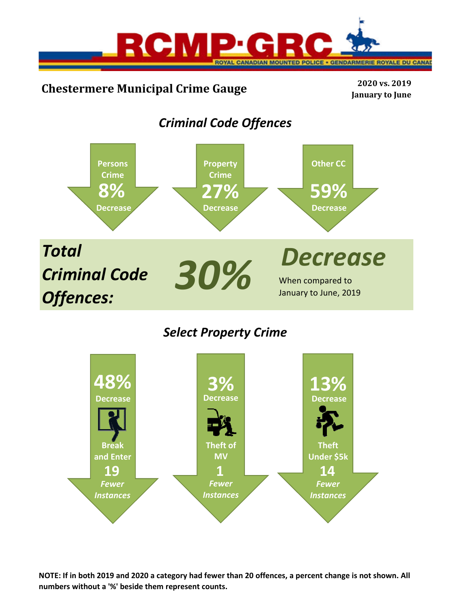

# **Chestermere Municipal Crime Gauge <sup>2020</sup> vs. <sup>2019</sup>**

**January to June**

# *Criminal Code Offences*



# *Select Property Crime*



**NOTE: If in both 2019 and 2020 a category had fewer than 20 offences, a percent change is not shown. All numbers without a '%' beside them represent counts.**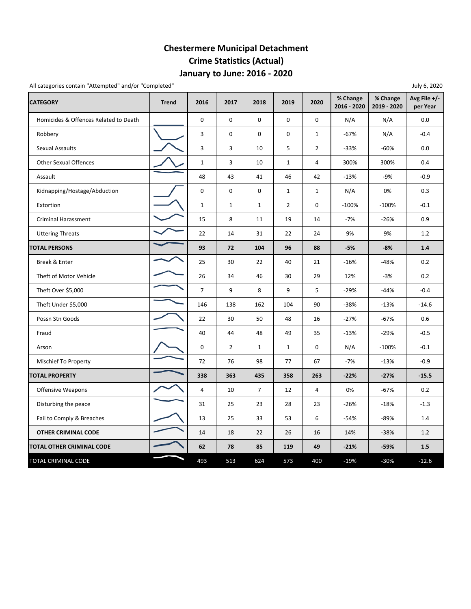## **January to June: 2016 ‐ 2020 Chestermere Municipal Detachment Crime Statistics (Actual)**

| All categories contain "Attempted" and/or "Completed" |              |                |                |                |                |                |                         |                         | July 6, 2020             |
|-------------------------------------------------------|--------------|----------------|----------------|----------------|----------------|----------------|-------------------------|-------------------------|--------------------------|
| <b>CATEGORY</b>                                       | <b>Trend</b> | 2016           | 2017           | 2018           | 2019           | 2020           | % Change<br>2016 - 2020 | % Change<br>2019 - 2020 | Avg File +/-<br>per Year |
| Homicides & Offences Related to Death                 |              | 0              | 0              | 0              | 0              | 0              | N/A                     | N/A                     | 0.0                      |
| Robbery                                               |              | 3              | 0              | 0              | 0              | $\mathbf{1}$   | $-67%$                  | N/A                     | $-0.4$                   |
| Sexual Assaults                                       |              | 3              | 3              | 10             | 5              | $\overline{2}$ | $-33%$                  | $-60%$                  | 0.0                      |
| <b>Other Sexual Offences</b>                          |              | $\mathbf{1}$   | 3              | 10             | $\mathbf{1}$   | 4              | 300%                    | 300%                    | 0.4                      |
| Assault                                               |              | 48             | 43             | 41             | 46             | 42             | $-13%$                  | $-9%$                   | $-0.9$                   |
| Kidnapping/Hostage/Abduction                          |              | 0              | 0              | 0              | $\mathbf{1}$   | $\mathbf{1}$   | N/A                     | 0%                      | 0.3                      |
| Extortion                                             |              | $\mathbf 1$    | $\mathbf{1}$   | $\mathbf{1}$   | $\overline{2}$ | 0              | $-100%$                 | $-100%$                 | $-0.1$                   |
| Criminal Harassment                                   |              | 15             | 8              | 11             | 19             | 14             | $-7%$                   | $-26%$                  | 0.9                      |
| <b>Uttering Threats</b>                               |              | 22             | 14             | 31             | 22             | 24             | 9%                      | 9%                      | 1.2                      |
| <b>TOTAL PERSONS</b>                                  |              | 93             | 72             | 104            | 96             | 88             | $-5%$                   | $-8%$                   | 1.4                      |
| Break & Enter                                         |              | 25             | 30             | 22             | 40             | 21             | $-16%$                  | $-48%$                  | 0.2                      |
| Theft of Motor Vehicle                                |              | 26             | 34             | 46             | 30             | 29             | 12%                     | $-3%$                   | 0.2                      |
| Theft Over \$5,000                                    |              | $\overline{7}$ | 9              | 8              | 9              | 5              | $-29%$                  | $-44%$                  | $-0.4$                   |
| Theft Under \$5,000                                   |              | 146            | 138            | 162            | 104            | 90             | $-38%$                  | $-13%$                  | $-14.6$                  |
| Possn Stn Goods                                       |              | 22             | 30             | 50             | 48             | 16             | $-27%$                  | $-67%$                  | 0.6                      |
| Fraud                                                 |              | 40             | 44             | 48             | 49             | 35             | $-13%$                  | $-29%$                  | $-0.5$                   |
| Arson                                                 |              | 0              | $\overline{2}$ | $\mathbf{1}$   | $\mathbf{1}$   | 0              | N/A                     | $-100%$                 | $-0.1$                   |
| <b>Mischief To Property</b>                           |              | 72             | 76             | 98             | 77             | 67             | $-7%$                   | $-13%$                  | $-0.9$                   |
| <b>TOTAL PROPERTY</b>                                 |              | 338            | 363            | 435            | 358            | 263            | $-22%$                  | $-27%$                  | $-15.5$                  |
| <b>Offensive Weapons</b>                              |              | $\overline{4}$ | 10             | $\overline{7}$ | 12             | 4              | 0%                      | $-67%$                  | 0.2                      |
| Disturbing the peace                                  |              | 31             | 25             | 23             | 28             | 23             | $-26%$                  | $-18%$                  | $-1.3$                   |
| Fail to Comply & Breaches                             |              | 13             | 25             | 33             | 53             | 6              | $-54%$                  | $-89%$                  | 1.4                      |
| <b>OTHER CRIMINAL CODE</b>                            |              | 14             | 18             | 22             | 26             | 16             | 14%                     | $-38%$                  | 1.2                      |
| <b>TOTAL OTHER CRIMINAL CODE</b>                      |              | 62             | 78             | 85             | 119            | 49             | $-21%$                  | $-59%$                  | 1.5                      |
| TOTAL CRIMINAL CODE                                   |              | 493            | 513            | 624            | 573            | 400            | $-19%$                  | $-30%$                  | $-12.6$                  |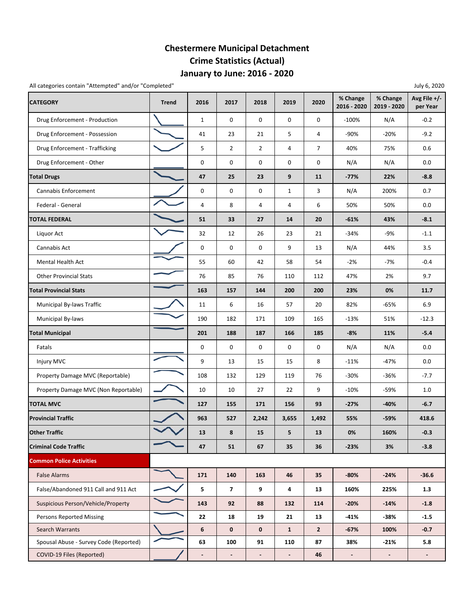## **January to June: 2016 ‐ 2020 Chestermere Municipal Detachment Crime Statistics (Actual)**

All categories contain "Attempted" and/or "Completed" and July 6, 2020

| <b>CATEGORY</b>                        | <b>Trend</b> | 2016                | 2017                     | 2018           | 2019           | 2020           | % Change<br>2016 - 2020 | % Change<br>2019 - 2020  | Avg File +/-<br>per Year |
|----------------------------------------|--------------|---------------------|--------------------------|----------------|----------------|----------------|-------------------------|--------------------------|--------------------------|
| Drug Enforcement - Production          |              | $\mathbf{1}$        | 0                        | 0              | 0              | 0              | $-100%$                 | N/A                      | $-0.2$                   |
| Drug Enforcement - Possession          |              | 41                  | 23                       | 21             | 5              | 4              | $-90%$                  | $-20%$                   | $-9.2$                   |
| Drug Enforcement - Trafficking         |              | 5                   | $\overline{2}$           | $\overline{2}$ | 4              | $\overline{7}$ | 40%                     | 75%                      | 0.6                      |
| Drug Enforcement - Other               |              | 0                   | 0                        | 0              | 0              | 0              | N/A                     | N/A                      | 0.0                      |
| <b>Total Drugs</b>                     |              | 47                  | 25                       | 23             | 9              | 11             | $-77%$                  | 22%                      | $-8.8$                   |
| Cannabis Enforcement                   |              | 0                   | 0                        | 0              | $\mathbf{1}$   | 3              | N/A                     | 200%                     | 0.7                      |
| Federal - General                      |              | $\sqrt{4}$          | 8                        | 4              | 4              | 6              | 50%                     | 50%                      | 0.0                      |
| <b><i>FOTAL FEDERAL</i></b>            |              | 51                  | 33                       | 27             | 14             | 20             | $-61%$                  | 43%                      | $-8.1$                   |
| Liquor Act                             |              | 32                  | 12                       | 26             | 23             | 21             | $-34%$                  | $-9%$                    | $-1.1$                   |
| Cannabis Act                           |              | $\mathsf{O}\xspace$ | 0                        | 0              | 9              | 13             | N/A                     | 44%                      | 3.5                      |
| <b>Mental Health Act</b>               |              | 55                  | 60                       | 42             | 58             | 54             | $-2%$                   | $-7%$                    | $-0.4$                   |
| <b>Other Provincial Stats</b>          |              | 76                  | 85                       | 76             | 110            | 112            | 47%                     | 2%                       | 9.7                      |
| <b>Total Provincial Stats</b>          |              | 163                 | 157                      | 144            | 200            | 200            | 23%                     | 0%                       | 11.7                     |
| Municipal By-laws Traffic              |              | 11                  | 6                        | 16             | 57             | 20             | 82%                     | $-65%$                   | 6.9                      |
| Municipal By-laws                      |              | 190                 | 182                      | 171            | 109            | 165            | $-13%$                  | 51%                      | $-12.3$                  |
| <b>Total Municipal</b>                 |              | 201                 | 188                      | 187            | 166            | 185            | $-8%$                   | 11%                      | $-5.4$                   |
| Fatals                                 |              | 0                   | 0                        | 0              | 0              | 0              | N/A                     | N/A                      | 0.0                      |
| Injury MVC                             |              | 9                   | 13                       | 15             | 15             | 8              | $-11%$                  | $-47%$                   | 0.0                      |
| Property Damage MVC (Reportable)       |              | 108                 | 132                      | 129            | 119            | 76             | $-30%$                  | $-36%$                   | $-7.7$                   |
| Property Damage MVC (Non Reportable)   |              | 10                  | 10                       | 27             | 22             | 9              | $-10%$                  | -59%                     | 1.0                      |
| <b>TOTAL MVC</b>                       |              | 127                 | 155                      | 171            | 156            | 93             | $-27%$                  | $-40%$                   | $-6.7$                   |
| <b>Provincial Traffic</b>              |              | 963                 | 527                      | 2,242          | 3,655          | 1,492          | 55%                     | -59%                     | 418.6                    |
| <b>Other Traffic</b>                   |              | 13                  | 8                        | 15             | 5              | 13             | 0%                      | 160%                     | $-0.3$                   |
| <b>Criminal Code Traffic</b>           |              | 47                  | 51                       | 67             | 35             | 36             | $-23%$                  | 3%                       | $-3.8$                   |
| <b>Common Police Activities</b>        |              |                     |                          |                |                |                |                         |                          |                          |
| <b>False Alarms</b>                    |              | 171                 | 140                      | 163            | 46             | 35             | $-80%$                  | $-24%$                   | $-36.6$                  |
| False/Abandoned 911 Call and 911 Act   |              | 5                   | $\overline{\mathbf{z}}$  | 9              | 4              | 13             | 160%                    | 225%                     | 1.3                      |
| Suspicious Person/Vehicle/Property     |              | 143                 | 92                       | 88             | 132            | 114            | $-20%$                  | $-14%$                   | $-1.8$                   |
| <b>Persons Reported Missing</b>        |              | 22                  | 18                       | 19             | 21             | 13             | $-41%$                  | -38%                     | $-1.5$                   |
| <b>Search Warrants</b>                 |              | 6                   | $\mathbf 0$              | $\mathbf 0$    | $\mathbf{1}$   | $\overline{2}$ | $-67%$                  | 100%                     | $-0.7$                   |
| Spousal Abuse - Survey Code (Reported) |              | 63                  | 100                      | 91             | 110            | 87             | 38%                     | $-21%$                   | 5.8                      |
| COVID-19 Files (Reported)              |              |                     | $\overline{\phantom{a}}$ | $\blacksquare$ | $\blacksquare$ | 46             | $\blacksquare$          | $\overline{\phantom{a}}$ | $\overline{\phantom{a}}$ |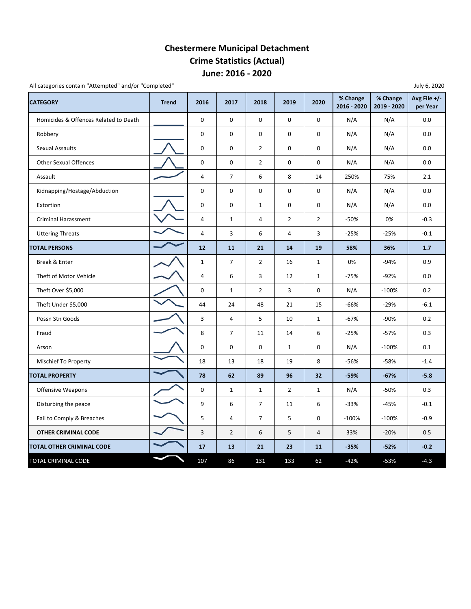### **June: 2016 ‐ 2020 Chestermere Municipal Detachment Crime Statistics (Actual)**

All categories contain "Attempted" and/or "Completed"

| <b>CATEGORY</b>                       | <b>Trend</b> | 2016                    | 2017           | 2018           | 2019           | 2020           | % Change<br>2016 - 2020 | % Change<br>2019 - 2020 | -- , - , - -<br>Avg File $+/-$<br>per Year |
|---------------------------------------|--------------|-------------------------|----------------|----------------|----------------|----------------|-------------------------|-------------------------|--------------------------------------------|
| Homicides & Offences Related to Death |              | $\pmb{0}$               | 0              | $\mathbf 0$    | 0              | 0              | N/A                     | N/A                     | 0.0                                        |
| Robbery                               |              | 0                       | 0              | $\mathbf 0$    | 0              | 0              | N/A                     | N/A                     | 0.0                                        |
| <b>Sexual Assaults</b>                |              | $\pmb{0}$               | 0              | $\overline{2}$ | $\mathsf 0$    | 0              | N/A                     | N/A                     | 0.0                                        |
| <b>Other Sexual Offences</b>          |              | $\pmb{0}$               | 0              | $\overline{2}$ | 0              | 0              | N/A                     | N/A                     | 0.0                                        |
| Assault                               |              | $\sqrt{4}$              | $\overline{7}$ | 6              | 8              | 14             | 250%                    | 75%                     | 2.1                                        |
| Kidnapping/Hostage/Abduction          |              | $\mathbf 0$             | 0              | $\mathbf 0$    | $\mathbf 0$    | 0              | N/A                     | N/A                     | 0.0                                        |
| Extortion                             |              | 0                       | 0              | $\mathbf{1}$   | 0              | 0              | N/A                     | N/A                     | 0.0                                        |
| <b>Criminal Harassment</b>            |              | $\overline{4}$          | $\mathbf{1}$   | $\overline{4}$ | $\overline{2}$ | $\overline{2}$ | $-50%$                  | 0%                      | $-0.3$                                     |
| <b>Uttering Threats</b>               |              | $\sqrt{4}$              | 3              | 6              | 4              | 3              | $-25%$                  | $-25%$                  | $-0.1$                                     |
| <b>TOTAL PERSONS</b>                  |              | 12                      | 11             | 21             | 14             | 19             | 58%                     | 36%                     | 1.7                                        |
| Break & Enter                         |              | $\mathbf{1}$            | 7              | $\overline{2}$ | 16             | $\mathbf{1}$   | 0%                      | $-94%$                  | 0.9                                        |
| Theft of Motor Vehicle                |              | $\overline{\mathbf{4}}$ | 6              | 3              | 12             | $\mathbf{1}$   | $-75%$                  | $-92%$                  | 0.0                                        |
| Theft Over \$5,000                    |              | $\mathbf 0$             | $\mathbf{1}$   | $\overline{2}$ | 3              | 0              | N/A                     | $-100%$                 | 0.2                                        |
| Theft Under \$5,000                   |              | 44                      | 24             | 48             | 21             | 15             | $-66%$                  | $-29%$                  | $-6.1$                                     |
| Possn Stn Goods                       |              | 3                       | 4              | 5              | 10             | $\mathbf{1}$   | $-67%$                  | -90%                    | 0.2                                        |
| Fraud                                 |              | 8                       | $\overline{7}$ | 11             | 14             | 6              | $-25%$                  | $-57%$                  | 0.3                                        |
| Arson                                 |              | $\mathbf 0$             | 0              | 0              | $\mathbf{1}$   | 0              | N/A                     | $-100%$                 | 0.1                                        |
| <b>Mischief To Property</b>           |              | 18                      | 13             | 18             | 19             | 8              | -56%                    | $-58%$                  | $-1.4$                                     |
| <b>TOTAL PROPERTY</b>                 |              | 78                      | 62             | 89             | 96             | 32             | $-59%$                  | $-67%$                  | $-5.8$                                     |
| Offensive Weapons                     |              | $\pmb{0}$               | $\mathbf{1}$   | $\mathbf{1}$   | $\overline{2}$ | $\mathbf{1}$   | N/A                     | -50%                    | 0.3                                        |
| Disturbing the peace                  |              | 9                       | 6              | $\overline{7}$ | 11             | 6              | $-33%$                  | $-45%$                  | $-0.1$                                     |
| Fail to Comply & Breaches             |              | 5                       | 4              | $\overline{7}$ | 5              | 0              | $-100%$                 | $-100%$                 | $-0.9$                                     |
| <b>OTHER CRIMINAL CODE</b>            |              | $\overline{3}$          | $\overline{2}$ | 6              | 5              | 4              | 33%                     | $-20%$                  | 0.5                                        |
| TOTAL OTHER CRIMINAL CODE             |              | 17                      | 13             | 21             | 23             | 11             | $-35%$                  | $-52%$                  | $-0.2$                                     |
| TOTAL CRIMINAL CODE                   |              | 107                     | 86             | 131            | 133            | 62             | $-42%$                  | $-53%$                  | $-4.3$                                     |

July 6, 2020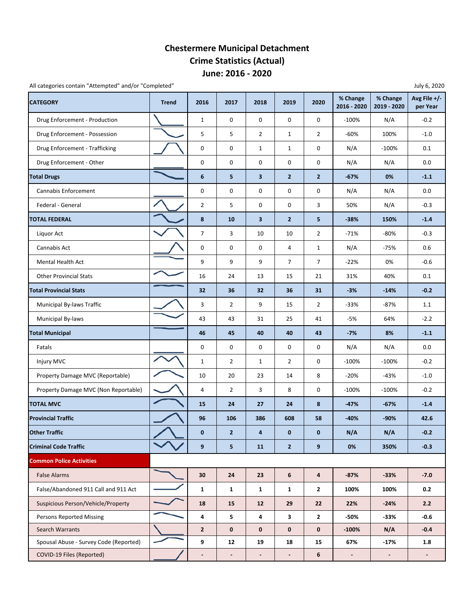### **June: 2016 ‐ 2020 Chestermere Municipal Detachment Crime Statistics (Actual)**

All categories contain "Attempted" and/or "Completed" **All categories contain "Attempted"** and/or "Completed" **July 6, 2020** 

| <b>CATEGORY</b>                        | <b>Trend</b> | 2016                     | 2017                     | 2018                     | 2019                     | 2020                    | % Change<br>2016 - 2020 | % Change<br>2019 - 2020  | Avg File $+/-$<br>per Year |
|----------------------------------------|--------------|--------------------------|--------------------------|--------------------------|--------------------------|-------------------------|-------------------------|--------------------------|----------------------------|
| Drug Enforcement - Production          |              | $\mathbf 1$              | 0                        | 0                        | $\mathsf 0$              | 0                       | $-100%$                 | N/A                      | $-0.2$                     |
| Drug Enforcement - Possession          |              | 5                        | 5                        | $\overline{2}$           | $\mathbf{1}$             | $\overline{2}$          | $-60%$                  | 100%                     | $-1.0$                     |
| Drug Enforcement - Trafficking         |              | 0                        | 0                        | $\mathbf{1}$             | $\mathbf{1}$             | 0                       | N/A                     | $-100%$                  | 0.1                        |
| Drug Enforcement - Other               |              | 0                        | 0                        | 0                        | 0                        | 0                       | N/A                     | N/A                      | 0.0                        |
| <b>Total Drugs</b>                     |              | $\boldsymbol{6}$         | 5                        | 3                        | $\overline{2}$           | $\mathbf{2}$            | -67%                    | 0%                       | $-1.1$                     |
| Cannabis Enforcement                   |              | 0                        | 0                        | 0                        | 0                        | 0                       | N/A                     | N/A                      | 0.0                        |
| Federal - General                      |              | $\overline{2}$           | 5                        | 0                        | 0                        | 3                       | 50%                     | N/A                      | $-0.3$                     |
| <b>TOTAL FEDERAL</b>                   |              | 8                        | 10                       | 3                        | $\overline{2}$           | 5                       | -38%                    | 150%                     | $-1.4$                     |
| Liquor Act                             |              | $\boldsymbol{7}$         | 3                        | 10                       | 10                       | $\overline{2}$          | $-71%$                  | -80%                     | $-0.3$                     |
| Cannabis Act                           |              | 0                        | 0                        | 0                        | 4                        | $\mathbf{1}$            | N/A                     | $-75%$                   | 0.6                        |
| Mental Health Act                      |              | 9                        | 9                        | 9                        | $\overline{7}$           | $\overline{7}$          | $-22%$                  | 0%                       | $-0.6$                     |
| <b>Other Provincial Stats</b>          |              | 16                       | 24                       | 13                       | 15                       | 21                      | 31%                     | 40%                      | 0.1                        |
| <b>Total Provincial Stats</b>          |              | 32                       | 36                       | 32                       | 36                       | 31                      | $-3%$                   | $-14%$                   | $-0.2$                     |
| Municipal By-laws Traffic              |              | 3                        | $\overline{2}$           | 9                        | 15                       | $\overline{2}$          | $-33%$                  | $-87%$                   | $1.1\,$                    |
| Municipal By-laws                      |              | 43                       | 43                       | 31                       | 25                       | 41                      | $-5%$                   | 64%                      | $-2.2$                     |
| <b>Total Municipal</b>                 |              | 46                       | 45                       | 40                       | 40                       | 43                      | $-7%$                   | 8%                       | $-1.1$                     |
| Fatals                                 |              | 0                        | 0                        | 0                        | 0                        | 0                       | N/A                     | N/A                      | 0.0                        |
| Injury MVC                             |              | $\mathbf{1}$             | $\overline{2}$           | 1                        | $\overline{2}$           | 0                       | $-100%$                 | $-100%$                  | $-0.2$                     |
| Property Damage MVC (Reportable)       |              | 10                       | 20                       | 23                       | 14                       | 8                       | $-20%$                  | $-43%$                   | $-1.0$                     |
| Property Damage MVC (Non Reportable)   |              | 4                        | $\overline{2}$           | 3                        | 8                        | 0                       | $-100%$                 | $-100%$                  | $-0.2$                     |
| <b>TOTAL MVC</b>                       |              | 15                       | 24                       | 27                       | 24                       | 8                       | -47%                    | $-67%$                   | $-1.4$                     |
| <b>Provincial Traffic</b>              |              | 96                       | 106                      | 386                      | 608                      | 58                      | $-40%$                  | $-90%$                   | 42.6                       |
| <b>Other Traffic</b>                   |              | $\mathbf{0}$             | $\overline{2}$           | 4                        | $\Omega$                 | $\Omega$                | N/A                     | N/A                      | $-0.2$                     |
| <b>Criminal Code Traffic</b>           |              | 9                        | 5                        | <b>11</b>                | $\overline{2}$           | 9 <sup>°</sup>          | 0%                      | 350%                     | $-0.3$                     |
| <b>Common Police Activities</b>        |              |                          |                          |                          |                          |                         |                         |                          |                            |
| <b>False Alarms</b>                    |              | 30                       | 24                       | 23                       | $\bf 6$                  | $\overline{\mathbf{a}}$ | $-87%$                  | $-33%$                   | $-7.0$                     |
| False/Abandoned 911 Call and 911 Act   |              | $\mathbf{1}$             | $\mathbf{1}$             | $\mathbf{1}$             | $\mathbf{1}$             | $\mathbf{2}$            | 100%                    | 100%                     | 0.2                        |
| Suspicious Person/Vehicle/Property     |              | 18                       | 15                       | 12                       | 29                       | 22                      | 22%                     | $-24%$                   | 2.2                        |
| <b>Persons Reported Missing</b>        |              | $\overline{\mathbf{4}}$  | 5                        | 4                        | $\mathbf{3}$             | $\mathbf{2}$            | -50%                    | $-33%$                   | $-0.6$                     |
| <b>Search Warrants</b>                 |              | $\overline{2}$           | $\mathbf 0$              | 0                        | $\mathbf 0$              | $\mathbf 0$             | $-100%$                 | N/A                      | $-0.4$                     |
| Spousal Abuse - Survey Code (Reported) |              | 9                        | 12                       | 19                       | 18                       | 15                      | 67%                     | $-17%$                   | 1.8                        |
| COVID-19 Files (Reported)              |              | $\overline{\phantom{a}}$ | $\overline{\phantom{a}}$ | $\overline{\phantom{a}}$ | $\overline{\phantom{a}}$ | 6                       | $\blacksquare$          | $\overline{\phantom{a}}$ | $\blacksquare$             |